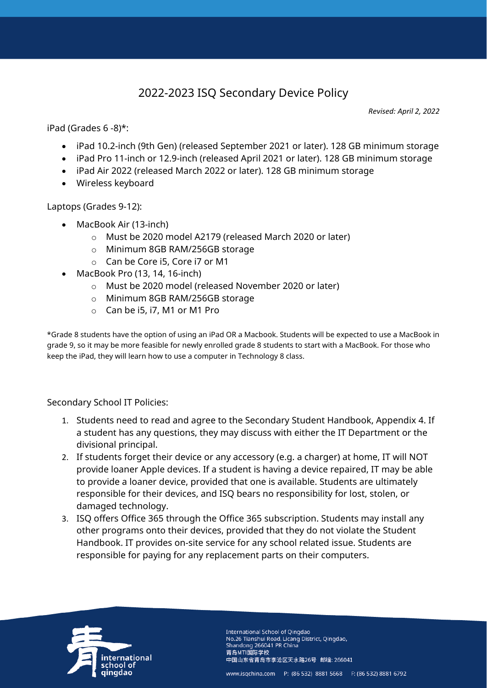## 2022-2023 ISQ Secondary Device Policy

*Revised: April 2, 2022*

iPad (Grades 6 -8)\*:

- iPad 10.2-inch (9th Gen) (released September 2021 or later). 128 GB minimum storage
- iPad Pro 11-inch or 12.9-inch (released April 2021 or later). 128 GB minimum storage
- iPad Air 2022 (released March 2022 or later). 128 GB minimum storage
- Wireless keyboard

Laptops (Grades 9-12):

- MacBook Air (13-inch)
	- o Must be 2020 model A2179 (released March 2020 or later)
	- o Minimum 8GB RAM/256GB storage
	- o Can be Core i5, Core i7 or M1
- MacBook Pro (13, 14, 16-inch)
	- o Must be 2020 model (released November 2020 or later)
	- o Minimum 8GB RAM/256GB storage
	- o Can be i5, i7, M1 or M1 Pro

\*Grade 8 students have the option of using an iPad OR a Macbook. Students will be expected to use a MacBook in grade 9, so it may be more feasible for newly enrolled grade 8 students to start with a MacBook. For those who keep the iPad, they will learn how to use a computer in Technology 8 class.

Secondary School IT Policies:

- 1. Students need to read and agree to the Secondary Student Handbook, Appendix 4. If a student has any questions, they may discuss with either the IT Department or the divisional principal.
- 2. If students forget their device or any accessory (e.g. a charger) at home, IT will NOT provide loaner Apple devices. If a student is having a device repaired, IT may be able to provide a loaner device, provided that one is available. Students are ultimately responsible for their devices, and ISQ bears no responsibility for lost, stolen, or damaged technology.
- 3. ISQ offers Office 365 through the Office 365 subscription. Students may install any other programs onto their devices, provided that they do not violate the Student Handbook. IT provides on-site service for any school related issue. Students are responsible for paying for any replacement parts on their computers.



International School of Oingdao No.26 Tianshui Road, Licang District, Qingdao, Shandong 266041 PR China 青岛MTI国际学校 中国山东省青岛市李沧区天水路26号 邮编: 266041